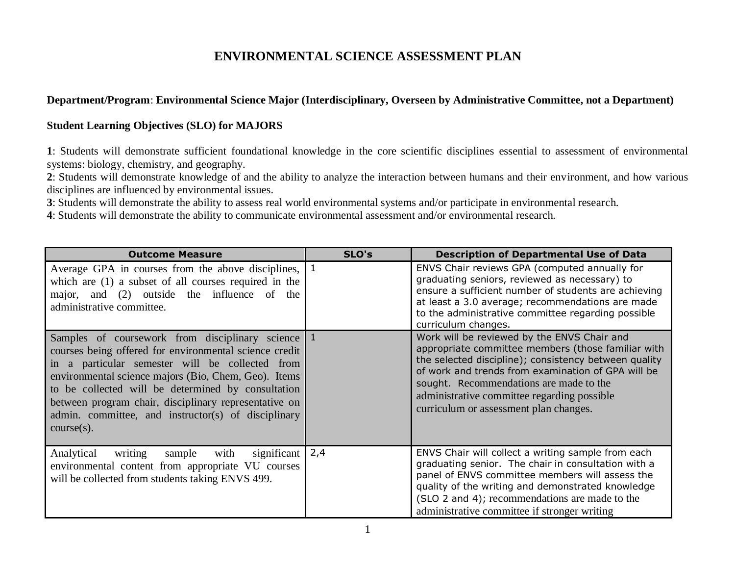# **ENVIRONMENTAL SCIENCE ASSESSMENT PLAN**

# **Department/Program**: **Environmental Science Major (Interdisciplinary, Overseen by Administrative Committee, not a Department)**

### **Student Learning Objectives (SLO) for MAJORS**

**1**: Students will demonstrate sufficient foundational knowledge in the core scientific disciplines essential to assessment of environmental systems: biology, chemistry, and geography.

**2**: Students will demonstrate knowledge of and the ability to analyze the interaction between humans and their environment, and how various disciplines are influenced by environmental issues.

**3**: Students will demonstrate the ability to assess real world environmental systems and/or participate in environmental research.

**4**: Students will demonstrate the ability to communicate environmental assessment and/or environmental research.

| <b>Outcome Measure</b>                                                                                                                                                                                                                                                                                                                                                                                        | SLO's | <b>Description of Departmental Use of Data</b>                                                                                                                                                                                                                                                                                                       |
|---------------------------------------------------------------------------------------------------------------------------------------------------------------------------------------------------------------------------------------------------------------------------------------------------------------------------------------------------------------------------------------------------------------|-------|------------------------------------------------------------------------------------------------------------------------------------------------------------------------------------------------------------------------------------------------------------------------------------------------------------------------------------------------------|
| Average GPA in courses from the above disciplines, 1<br>which are (1) a subset of all courses required in the<br>major, and (2) outside the influence of the<br>administrative committee.                                                                                                                                                                                                                     |       | ENVS Chair reviews GPA (computed annually for<br>graduating seniors, reviewed as necessary) to<br>ensure a sufficient number of students are achieving<br>at least a 3.0 average; recommendations are made<br>to the administrative committee regarding possible<br>curriculum changes.                                                              |
| Samples of coursework from disciplinary science 1<br>courses being offered for environmental science credit<br>in a particular semester will be collected from<br>environmental science majors (Bio, Chem, Geo). Items<br>to be collected will be determined by consultation<br>between program chair, disciplinary representative on<br>admin. committee, and instructor(s) of disciplinary<br>$course(s)$ . |       | Work will be reviewed by the ENVS Chair and<br>appropriate committee members (those familiar with<br>the selected discipline); consistency between quality<br>of work and trends from examination of GPA will be<br>sought. Recommendations are made to the<br>administrative committee regarding possible<br>curriculum or assessment plan changes. |
| significant $\vert$<br>Analytical<br>with<br>writing<br>sample<br>environmental content from appropriate VU courses<br>will be collected from students taking ENVS 499.                                                                                                                                                                                                                                       | 2,4   | ENVS Chair will collect a writing sample from each<br>graduating senior. The chair in consultation with a<br>panel of ENVS committee members will assess the<br>quality of the writing and demonstrated knowledge<br>(SLO 2 and 4); recommendations are made to the<br>administrative committee if stronger writing                                  |